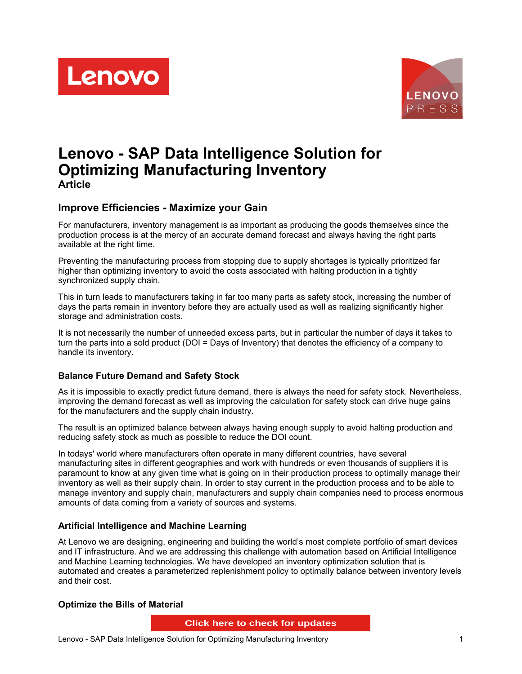



# **Lenovo - SAP Data Intelligence Solution for Optimizing Manufacturing Inventory Article**

# **Improve Efficiencies - Maximize your Gain**

For manufacturers, inventory management is as important as producing the goods themselves since the production process is at the mercy of an accurate demand forecast and always having the right parts available at the right time.

Preventing the manufacturing process from stopping due to supply shortages is typically prioritized far higher than optimizing inventory to avoid the costs associated with halting production in a tightly synchronized supply chain.

This in turn leads to manufacturers taking in far too many parts as safety stock, increasing the number of days the parts remain in inventory before they are actually used as well as realizing significantly higher storage and administration costs.

It is not necessarily the number of unneeded excess parts, but in particular the number of days it takes to turn the parts into a sold product (DOI = Days of Inventory) that denotes the efficiency of a company to handle its inventory.

#### **Balance Future Demand and Safety Stock**

As it is impossible to exactly predict future demand, there is always the need for safety stock. Nevertheless, improving the demand forecast as well as improving the calculation for safety stock can drive huge gains for the manufacturers and the supply chain industry.

The result is an optimized balance between always having enough supply to avoid halting production and reducing safety stock as much as possible to reduce the DOI count.

In todays' world where manufacturers often operate in many different countries, have several manufacturing sites in different geographies and work with hundreds or even thousands of suppliers it is paramount to know at any given time what is going on in their production process to optimally manage their inventory as well as their supply chain. In order to stay current in the production process and to be able to manage inventory and supply chain, manufacturers and supply chain companies need to process enormous amounts of data coming from a variety of sources and systems.

#### **Artificial Intelligence and Machine Learning**

At Lenovo we are designing, engineering and building the world's most complete portfolio of smart devices and IT infrastructure. And we are addressing this challenge with automation based on Artificial Intelligence and Machine Learning technologies. We have developed an inventory optimization solution that is automated and creates a parameterized replenishment policy to optimally balance between inventory levels and their cost.

#### **Optimize the Bills of Material**

**Click here to check for updates**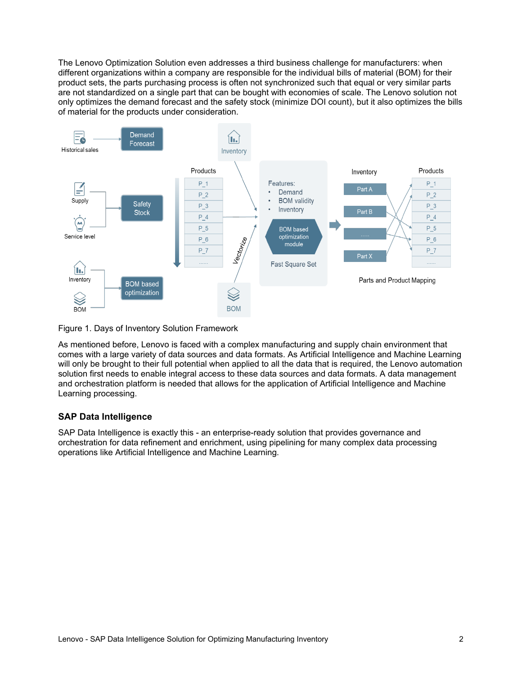The Lenovo Optimization Solution even addresses a third business challenge for manufacturers: when different organizations within a company are responsible for the individual bills of material (BOM) for their product sets, the parts purchasing process is often not synchronized such that equal or very similar parts are not standardized on a single part that can be bought with economies of scale. The Lenovo solution not only optimizes the demand forecast and the safety stock (minimize DOI count), but it also optimizes the bills of material for the products under consideration.



Figure 1. Days of Inventory Solution Framework

As mentioned before, Lenovo is faced with a complex manufacturing and supply chain environment that comes with a large variety of data sources and data formats. As Artificial Intelligence and Machine Learning will only be brought to their full potential when applied to all the data that is required, the Lenovo automation solution first needs to enable integral access to these data sources and data formats. A data management and orchestration platform is needed that allows for the application of Artificial Intelligence and Machine Learning processing.

#### **SAP Data Intelligence**

SAP Data Intelligence is exactly this - an enterprise-ready solution that provides governance and orchestration for data refinement and enrichment, using pipelining for many complex data processing operations like Artificial Intelligence and Machine Learning.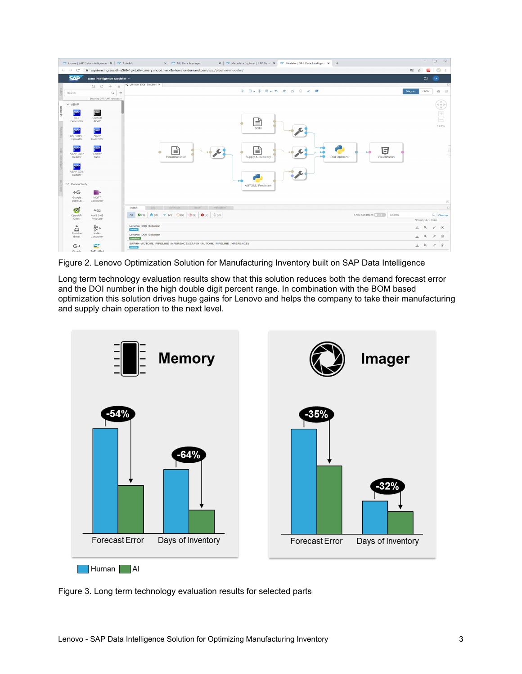| $\leftarrow$ $\rightarrow$<br>$\circ$ | T Home   SAP Data Intelligence X   T AutoML | ×   27 ML Data Manager<br>×   27 Metadata Explorer   SAP Data   ×   27 Modeler   SAP Data Intelligenc ×   +<br>iii vsystem.ingress.dh-z5t6v1gxd.dh-canary.shoot.live.k8s-hana.ondemand.com/app/pipeline-modeler/ | 配<br>$\mathbf{x}$ | $\qquad \qquad -$<br>ෂ | $\Box$<br>$\circ$ :                                                   | $\times$ |
|---------------------------------------|---------------------------------------------|------------------------------------------------------------------------------------------------------------------------------------------------------------------------------------------------------------------|-------------------|------------------------|-----------------------------------------------------------------------|----------|
| <b>SAP</b>                            | Data Intelligence Modeler v                 |                                                                                                                                                                                                                  |                   | $^{\circ}$             | Le                                                                    |          |
|                                       | <b>日 C +</b><br>$\equiv$                    | -C Lenovo DOI Solution X                                                                                                                                                                                         |                   |                        |                                                                       | $\Box$   |
|                                       |                                             | G B - 0 W - 5 d K W 2 K                                                                                                                                                                                          | Diagram           | <b>JSON</b>            | 186                                                                   | 日        |
| Search                                | $\alpha$<br>$\equiv$                        |                                                                                                                                                                                                                  |                   |                        |                                                                       |          |
|                                       | Showing 267 / 267 operators                 |                                                                                                                                                                                                                  |                   |                        | $\mathbb{A}$                                                          |          |
| $\vee$ ABAP                           |                                             |                                                                                                                                                                                                                  |                   |                        | $\left\langle \begin{array}{c} 0 \\ \gamma \end{array} \right\rangle$ |          |
| <b>ABAP</b>                           | <b>ABAP</b>                                 |                                                                                                                                                                                                                  |                   |                        |                                                                       |          |
|                                       |                                             |                                                                                                                                                                                                                  |                   |                        | $\begin{array}{c} \pm \cr \hline \end{array}$                         |          |
| <b>SLT</b><br>Connector               | Custom<br>ABAP.                             |                                                                                                                                                                                                                  |                   |                        |                                                                       |          |
|                                       |                                             | ≡                                                                                                                                                                                                                |                   |                        | 120%                                                                  |          |
| <b>ADAP</b>                           | <b>ABAP</b>                                 | <b>BOM</b>                                                                                                                                                                                                       |                   |                        |                                                                       |          |
| SAP ABAP                              | ABAP                                        |                                                                                                                                                                                                                  |                   |                        |                                                                       |          |
| Operator                              | Converter                                   |                                                                                                                                                                                                                  |                   |                        |                                                                       |          |
| <b>ATIAP</b>                          | <b>ATIAP</b>                                |                                                                                                                                                                                                                  |                   |                        |                                                                       |          |
|                                       |                                             | $\overline{5}$<br>(⊑∣<br>∕⊑,                                                                                                                                                                                     |                   |                        |                                                                       |          |
| ABAP ODP<br>Reader                    | Cluster<br>Table.                           | <b>DOI</b> Optimizer<br>Supply & Inventory<br>Visualization<br>Historical sales                                                                                                                                  |                   |                        |                                                                       |          |
|                                       |                                             |                                                                                                                                                                                                                  |                   |                        |                                                                       |          |
| <b>ABAP</b>                           |                                             |                                                                                                                                                                                                                  |                   |                        |                                                                       |          |
| ABAP CDS                              |                                             |                                                                                                                                                                                                                  |                   |                        |                                                                       |          |
| Reader                                |                                             |                                                                                                                                                                                                                  |                   |                        |                                                                       |          |
|                                       |                                             |                                                                                                                                                                                                                  |                   |                        |                                                                       |          |
| $\vee$ Connectivity                   |                                             | <b>AUTOML Prediction</b>                                                                                                                                                                                         |                   |                        |                                                                       |          |
| $\rightarrow G$                       | an e                                        |                                                                                                                                                                                                                  |                   |                        |                                                                       |          |
| Google                                | <b>MOTT</b>                                 |                                                                                                                                                                                                                  |                   |                        |                                                                       |          |
| pub/sub.                              | Consumer                                    |                                                                                                                                                                                                                  |                   |                        |                                                                       |          |
|                                       |                                             |                                                                                                                                                                                                                  |                   |                        |                                                                       |          |
|                                       |                                             |                                                                                                                                                                                                                  |                   |                        |                                                                       |          |
| <b>M</b>                              | $\rightarrow$ aws                           | Validation<br>Schedule<br>Trace<br>Log<br>Status                                                                                                                                                                 |                   |                        |                                                                       |          |
| OpenAPI                               | AWS SNS                                     | <b>兼</b> (0) $\rightarrow \sim$ (2) $\odot$ (0) $\odot$ (0) $\odot$ (0) $\odot$ (0) $\odot$ (0)<br>Show Subgraphs: 0011<br>All<br>$\bullet$ (1)<br>Search                                                        |                   |                        | $\alpha$<br>Cleanup                                                   | $\Box$   |
| Client                                | Producer                                    |                                                                                                                                                                                                                  |                   | Showing 3 / 3 items    |                                                                       |          |
| $\ddot{\phantom{1}}$                  |                                             | Lenovo_DOI_Solution                                                                                                                                                                                              | $\frac{1}{2}$     | $\mathsf{D}_+$         | $\odot$<br>1                                                          |          |
| $\Delta$                              | နို့မှ                                      | running                                                                                                                                                                                                          |                   |                        |                                                                       |          |
| Receive<br>Email                      | Kafka<br>Consumer                           | Lenovo_DOI_Solution                                                                                                                                                                                              | $\frac{1}{2}$     | $D_{\alpha}$           | 商<br>0                                                                |          |
| $G+$                                  | <b>SAP</b>                                  | completed<br>SAP99 - AUTOML_PIPELINE_INFERENCE (SAP99 - AUTOML_PIPELINE_INFERENCE)                                                                                                                               | 土                 | $D_{\alpha}$           | $\circ$<br>$\mathscr{O}$                                              |          |

Figure 2. Lenovo Optimization Solution for Manufacturing Inventory built on SAP Data Intelligence

Long term technology evaluation results show that this solution reduces both the demand forecast error and the DOI number in the high double digit percent range. In combination with the BOM based optimization this solution drives huge gains for Lenovo and helps the company to take their manufacturing and supply chain operation to the next level.



Figure 3. Long term technology evaluation results for selected parts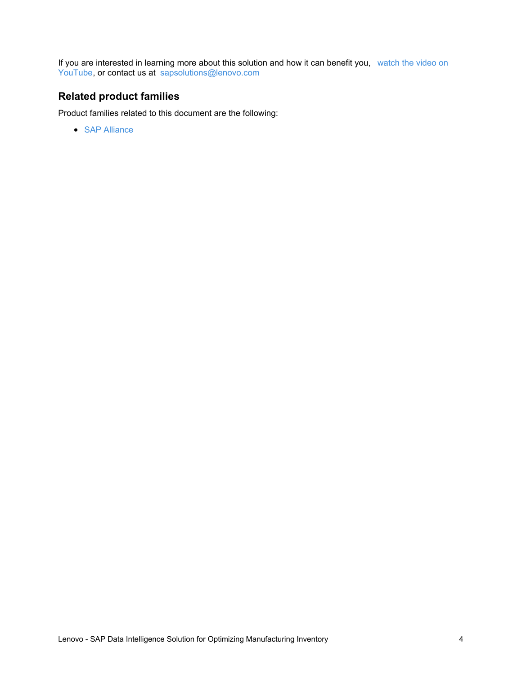If you are interested in learning more about this solution and how it can benefit you, watch the video on YouTube, or contact us at [sapsolutions@lenovo.com](https://www.youtube.com/watch?v=7RM1cDz5Aq8&feature=youtu.be)

# **Related product families**

Product families related to this document are the following:

• SAP [Alliance](https://lenovopress.com/software/alliances/sap)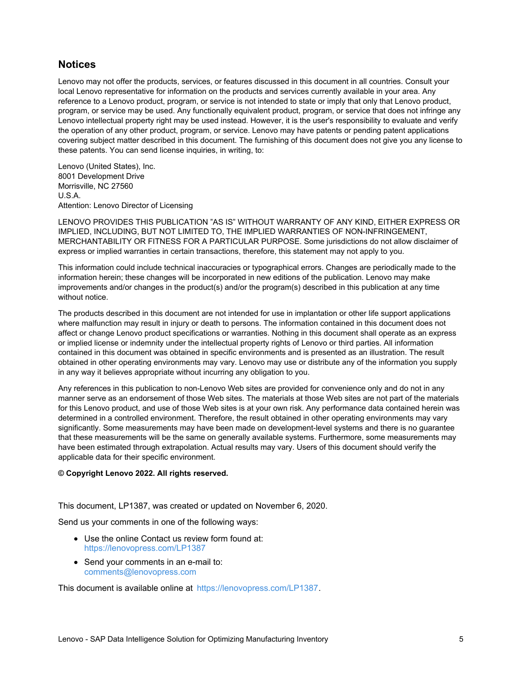### **Notices**

Lenovo may not offer the products, services, or features discussed in this document in all countries. Consult your local Lenovo representative for information on the products and services currently available in your area. Any reference to a Lenovo product, program, or service is not intended to state or imply that only that Lenovo product, program, or service may be used. Any functionally equivalent product, program, or service that does not infringe any Lenovo intellectual property right may be used instead. However, it is the user's responsibility to evaluate and verify the operation of any other product, program, or service. Lenovo may have patents or pending patent applications covering subject matter described in this document. The furnishing of this document does not give you any license to these patents. You can send license inquiries, in writing, to:

Lenovo (United States), Inc. 8001 Development Drive Morrisville, NC 27560 U.S.A. Attention: Lenovo Director of Licensing

LENOVO PROVIDES THIS PUBLICATION "AS IS" WITHOUT WARRANTY OF ANY KIND, EITHER EXPRESS OR IMPLIED, INCLUDING, BUT NOT LIMITED TO, THE IMPLIED WARRANTIES OF NON-INFRINGEMENT, MERCHANTABILITY OR FITNESS FOR A PARTICULAR PURPOSE. Some jurisdictions do not allow disclaimer of express or implied warranties in certain transactions, therefore, this statement may not apply to you.

This information could include technical inaccuracies or typographical errors. Changes are periodically made to the information herein; these changes will be incorporated in new editions of the publication. Lenovo may make improvements and/or changes in the product(s) and/or the program(s) described in this publication at any time without notice.

The products described in this document are not intended for use in implantation or other life support applications where malfunction may result in injury or death to persons. The information contained in this document does not affect or change Lenovo product specifications or warranties. Nothing in this document shall operate as an express or implied license or indemnity under the intellectual property rights of Lenovo or third parties. All information contained in this document was obtained in specific environments and is presented as an illustration. The result obtained in other operating environments may vary. Lenovo may use or distribute any of the information you supply in any way it believes appropriate without incurring any obligation to you.

Any references in this publication to non-Lenovo Web sites are provided for convenience only and do not in any manner serve as an endorsement of those Web sites. The materials at those Web sites are not part of the materials for this Lenovo product, and use of those Web sites is at your own risk. Any performance data contained herein was determined in a controlled environment. Therefore, the result obtained in other operating environments may vary significantly. Some measurements may have been made on development-level systems and there is no guarantee that these measurements will be the same on generally available systems. Furthermore, some measurements may have been estimated through extrapolation. Actual results may vary. Users of this document should verify the applicable data for their specific environment.

#### **© Copyright Lenovo 2022. All rights reserved.**

This document, LP1387, was created or updated on November 6, 2020.

Send us your comments in one of the following ways:

- Use the online Contact us review form found at: <https://lenovopress.com/LP1387>
- Send your comments in an e-mail to: [comments@lenovopress.com](mailto:comments@lenovopress.com?subject=Feedback for LP1387)

This document is available online at <https://lenovopress.com/LP1387>.